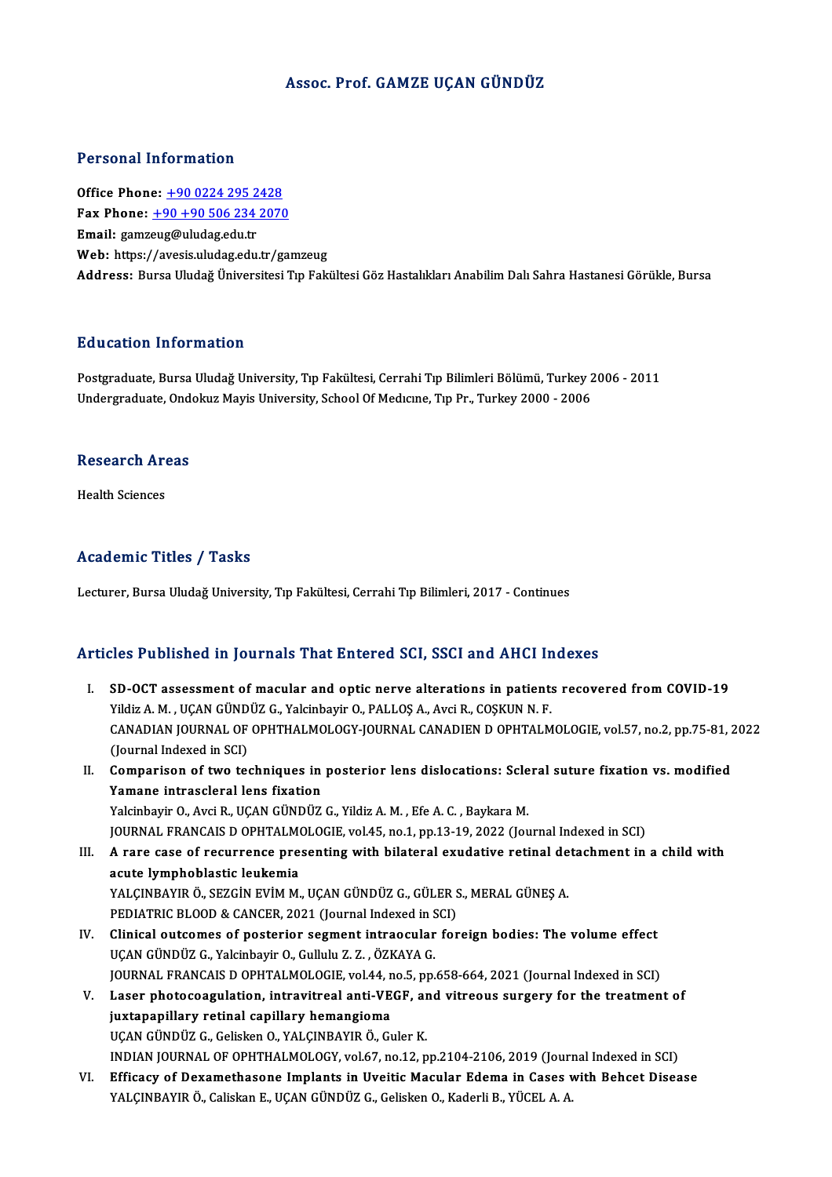## Assoc. Prof. GAMZE UÇAN GÜNDÜZ

### Personal Information

Office Phone: +90 0224 295 2428 Fax Phone: <u>+90 0224 295 2428</u><br>Fax Phone: <u>+90 +90 506 234 2070</u><br>Fmail: *samsous@uludos* edu tr Office Phone: <u>+90 0224 295 2</u><br>Fax Phone: <u>+90 +90 506 234</u><br>Email: gamz[eug@uludag.edu.tr](tel:+90 +90 506 234 2070) Email: gamzeug@uludag.edu.tr<br>Web: https://avesis.uludag.edu.tr/gamzeug Address: Bursa Uludağ Üniversitesi Tıp Fakültesi Göz Hastalıkları Anabilim Dalı Sahra Hastanesi Görükle, Bursa

### Education Information

Postgraduate, Bursa Uludağ University, Tıp Fakültesi, Cerrahi Tıp Bilimleri Bölümü, Turkey 2006 - 2011 Undergraduate, Ondokuz Mayis University, School Of Medicine, Tip Pr., Turkey 2000 - 2006

### Research Areas

Health Sciences

### Academic Titles / Tasks

Lecturer, Bursa Uludağ University, Tıp Fakültesi, Cerrahi Tıp Bilimleri, 2017 - Continues

### Articles Published in Journals That Entered SCI, SSCI and AHCI Indexes

- rticles Published in Journals That Entered SCI, SSCI and AHCI Indexes<br>I. SD-OCT assessment of macular and optic nerve alterations in patients recovered from COVID-19<br>Vildis A.M., UCAN CÜNDÜZ C. Volsinbovir O. BALLOS A. Avg YILDI YULDILDIZA.<br>SD-OCT assessment of macular and optic nerve alterations in patient:<br>Yildiz A.M., UÇAN GÜNDÜZ G., Yalcinbayir O., PALLOŞ A., Avci R., COŞKUN N.F.<br>CANADIAN IQURNAL OF OPHTHALMOLOCY IQURNAL CANADIEN D OPHTA SD-OCT assessment of macular and optic nerve alterations in patients recovered from COVID-19<br>Yildiz A. M. , UÇAN GÜNDÜZ G., Yalcinbayir O., PALLOŞ A., Avci R., COŞKUN N. F.<br>CANADIAN JOURNAL OF OPHTHALMOLOGY-JOURNAL CANADIE Yildiz A. M. , UÇAN GÜND<br>CANADIAN JOURNAL OF<br>(Journal Indexed in SCI)<br>Comnanison of two tes CANADIAN JOURNAL OF OPHTHALMOLOGY-JOURNAL CANADIEN D OPHTALMOLOGIE, vol.57, no.2, pp.75-81, 2<br>(Journal Indexed in SCI)<br>II. Comparison of two techniques in posterior lens dislocations: Scleral suture fixation vs. modified<br>V
- (Journal Indexed in SCI)<br>Comparison of two techniques in<br>Yamane intrascleral lens fixation<br>Yekinberin O. Avri B. UCAN CÜNDÜZ Comparison of two techniques in posterior lens dislocations: Scle<br>Yamane intrascleral lens fixation<br>Yalcinbayir O., Avci R., UÇAN GÜNDÜZ G., Yildiz A. M. , Efe A. C. , Baykara M.<br>JOUPMAL ERANCAIS D OPHTALMOLOGIE vel 45 no Yamane intrascleral lens fixation<br>Yalcinbayir O., Avci R., UÇAN GÜNDÜZ G., Yildiz A. M. , Efe A. C. , Baykara M.<br>JOURNAL FRANCAIS D OPHTALMOLOGIE, vol.45, no.1, pp.13-19, 2022 (Journal Indexed in SCI)<br>A rare sase of resurr Yalcinbayir O., Avci R., UÇAN GÜNDÜZ G., Yildiz A. M. , Efe A. C. , Baykara M.<br>JOURNAL FRANCAIS D OPHTALMOLOGIE, vol.45, no.1, pp.13-19, 2022 (Journal Indexed in SCI)<br>III. A rare case of recurrence presenting with bilatera
- JOURNAL FRANCAIS D OPHTALM<br>A rare case of recurrence pre<br>acute lymphoblastic leukemia<br>YALCINRAVIR Ö, SEZCİN EVİM M A rare case of recurrence presenting with bilateral exudative retinal de<br>acute lymphoblastic leukemia<br>YALÇINBAYIR Ö., SEZGİN EVİM M., UÇAN GÜNDÜZ G., GÜLER S., MERAL GÜNEŞ A.<br>PEDIATRIC PLOOD & CANCER 2021 (Journal Indoved acute lymphoblastic leukemia<br>YALÇINBAYIR Ö., SEZGİN EVİM M., UÇAN GÜNDÜZ G., GÜLER S<br>PEDIATRIC BLOOD & CANCER, 2021 (Journal Indexed in SCI)<br>Clinisal outsomes of nosterior sesment intreosular for
- PEDIATRIC BLOOD & CANCER, 2021 (Journal Indexed in SCI)<br>IV. Clinical outcomes of posterior segment intraocular foreign bodies: The volume effect UÇAN GÜNDÜZ G., Yalcinbayir O., Gullulu Z.Z., ÖZKAYA G. JOURNAL FRANCAIS D OPHTALMOLOGIE, vol.44, no.5, pp.658-664, 2021 (Journal Indexed in SCI) UÇAN GÜNDÜZ G., Yalcinbayir O., Gullulu Z. Z. , ÖZKAYA G.<br>JOURNAL FRANCAIS D OPHTALMOLOGIE, vol.44, no.5, pp.658-664, 2021 (Journal Indexed in SCI)<br>V. Laser photocoagulation, intravitreal anti-VEGF, and vitreous surgery fo
- juxtapapillary retinal capillary hemangioma<br>UÇAN GÜNDÜZ G., Gelisken O., YALÇINBAYIR Ö., Guler K. Laser photocoagulation, intravitreal anti-VEGF, ar<br>juxtapapillary retinal capillary hemangioma<br>UÇAN GÜNDÜZ G., Gelisken O., YALÇINBAYIR Ö., Guler K.<br>INDIAN JOUPNAL OF OPUTHALMOLOCY YRLÉZ P0.12 P juxtapapillary retinal capillary hemangioma<br>UÇAN GÜNDÜZ G., Gelisken O., YALÇINBAYIR Ö., Guler K.<br>INDIAN JOURNAL OF OPHTHALMOLOGY, vol.67, no.12, pp.2104-2106, 2019 (Journal Indexed in SCI)<br>Efficesy of Dovemathesene Implen UÇAN GÜNDÜZ G., Gelisken O., YALÇINBAYIR Ö., Guler K.<br>INDIAN JOURNAL OF OPHTHALMOLOGY, vol.67, no.12, pp.2104-2106, 2019 (Journal Indexed in SCI)<br>VI. Efficacy of Dexamethasone Implants in Uveitic Macular Edema in Cases wit
- INDIAN JOURNAL OF OPHTHALMOLOGY, vol.67, no.12, pp.2104-2106, 2019 (Jouri<br><mark>Efficacy of Dexamethasone Implants in Uveitic Macular Edema in Cases v</mark><br>YALÇINBAYIR Ö., Caliskan E., UÇAN GÜNDÜZ G., Gelisken O., Kaderli B., YÜCEL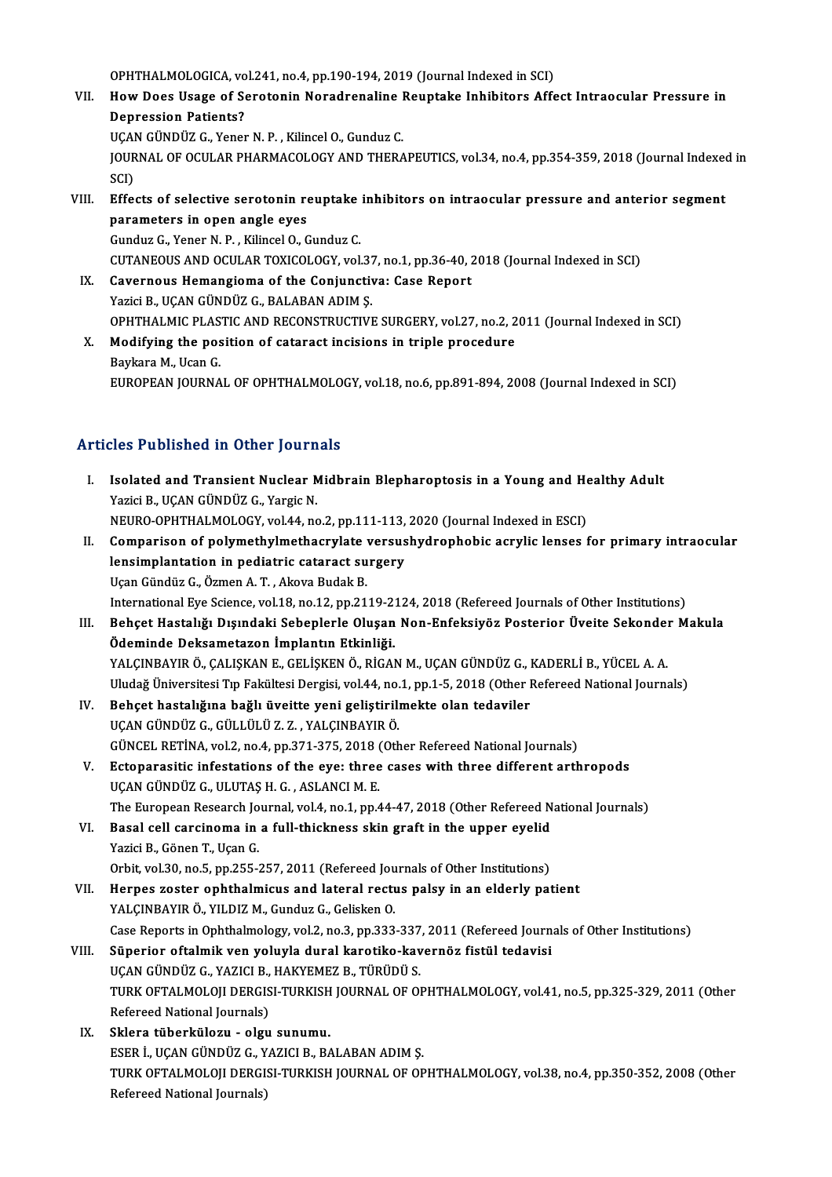OPHTHALMOLOGICA, vol.241, no.4, pp.190-194, 2019 (Journal Indexed in SCI)

OPHTHALMOLOGICA, vol.241, no.4, pp.190-194, 2019 (Journal Indexed in SCI)<br>VII. How Does Usage of Serotonin Noradrenaline Reuptake Inhibitors Affect Intraocular Pressure in<br>Depression Patiente? OPHTHALMOLOGICA, vo<br>How Does Usage of Se<br>Depression Patients?<br>UCAN CUNDUZ C. Yenes How Does Usage of Serotonin Noradrenaline l<br>Depression Patients?<br>UÇAN GÜNDÜZ G., Yener N. P. , Kilincel O., Gunduz C.<br>JOUPNAL OF OCULAR BHARMACOLOCY AND THERA

Depression Patients?<br>UÇAN GÜNDÜZ G., Yener N. P. , Kilincel O., Gunduz C.<br>JOURNAL OF OCULAR PHARMACOLOGY AND THERAPEUTICS, vol.34, no.4, pp.354-359, 2018 (Journal Indexed in<br>SCD UÇAI<br>JOUR<br>SCI)<br>Effe VIII. Effects of selective serotonin reuptake inhibitors on intraocular pressure and anterior segment<br>NIII. Effects of selective serotonin reuptake inhibitors on intraocular pressure and anterior segment<br>naramatars in onen

SCI)<br>Effects of selective serotonin re<br>parameters in open angle eyes<br>Cundus C. Yoner N. B. Kilingel O. C Effects of selective serotonin reuptake<br>parameters in open angle eyes<br>Gunduz G., Yener N. P., Kilincel O., Gunduz C.<br>CUTANEOUS AND OCULAR TOYICOLOCY vol

parameters in open angle eyes<br>Gunduz G., Yener N. P. , Kilincel O., Gunduz C.<br>CUTANEOUS AND OCULAR TOXICOLOGY, vol.37, no.1, pp.36-40, 2018 (Journal Indexed in SCI)<br>Cayernaus Hamangiama of the Conjunctive: Case Banart Gunduz G., Yener N. P., Kilincel O., Gunduz C.<br>CUTANEOUS AND OCULAR TOXICOLOGY, vol.37, no.1, pp.36-40, 2<br>IX. Cavernous Hemangioma of the Conjunctiva: Case Report<br>Yazici B., UCAN GÜNDÜZ G., BALABAN ADIM S.

- CUTANEOUS AND OCULAR TOXICOLOGY, vol.37<br>Cavernous Hemangioma of the Conjunctiv<br>Yazici B., UÇAN GÜNDÜZ G., BALABAN ADIM Ş.<br>OPHTHALMIC BLASTIC AND BECONSTBUCTIVI OPHTHALMIC PLASTIC AND RECONSTRUCTIVE SURGERY, vol.27, no.2, 2011 (Journal Indexed in SCI) Yazici B., UÇAN GÜNDÜZ G., BALABAN ADIM Ş.<br>OPHTHALMIC PLASTIC AND RECONSTRUCTIVE SURGERY, vol.27, no.2, 2<br>X. Modifying the position of cataract incisions in triple procedure<br>Poultare M. Heap G.
- **OPHTHALMIC PLAS<br>Modifying the pos<br>Baykara M., Ucan G.<br>FUROPEAN JOUPNA** Baykara M., Ucan G.<br>EUROPEAN JOURNAL OF OPHTHALMOLOGY, vol.18, no.6, pp.891-894, 2008 (Journal Indexed in SCI)

# Articles Published in Other Journals

- rticles Published in Other Journals<br>I. Isolated and Transient Nuclear Midbrain Blepharoptosis in a Young and Healthy Adult<br>Yozici B. UCAN CÜNDÜZ C. Yozgis N You Tubriched in Sener Journ<br>Isolated and Transient Nuclear M<br>Yazici B., UÇAN GÜNDÜZ G., Yargic N. Isolated and Transient Nuclear Midbrain Blepharoptosis in a Young and He<br>Yazici B., UÇAN GÜNDÜZ G., Yargic N.<br>NEURO-OPHTHALMOLOGY, vol.44, no.2, pp.111-113, 2020 (Journal Indexed in ESCI)<br>Comparison of polymethylmethaeryla Yazici B., UÇAN GÜNDÜZ G., Yargic N.<br>NEURO-OPHTHALMOLOGY, vol.44, no.2, pp.111-113, 2020 (Journal Indexed in ESCI)<br>II. Comparison of polymethylmethacrylate versushydrophobic acrylic lenses for primary intraocular<br>longimpla
- NEURO-OPHTHALMOLOGY, vol.44, no.2, pp.111-113,<br>Comparison of polymethylmethacrylate versus<br>lensimplantation in pediatric cataract surgery lensimplantation in pediatric cataract surgery<br>Uçan Gündüz G., Özmen A. T., Akova Budak B. lensimplantation in pediatric cataract surgery<br>Uçan Gündüz G., Özmen A. T. , Akova Budak B.<br>International Eye Science, vol.18, no.12, pp.2119-2124, 2018 (Refereed Journals of Other Institutions)<br>Beheet Hestalığı Dısındaki Uçan Gündüz G., Özmen A. T. , Akova Budak B.<br>International Eye Science, vol.18, no.12, pp.2119-2124, 2018 (Refereed Journals of Other Institutions)<br>III. Behçet Hastalığı Dışındaki Sebeplerle Oluşan Non-Enfeksiyöz Posterior
- International Eye Science, vol.18, no.12, pp.2119-2<br>Behçet Hastalığı Dışındaki Sebeplerle Oluşan<br>Ödeminde Deksametazon İmplantın Etkinliği.<br>VALCINRAVIR Ö. CALISKAN E. CELİSKEN Ö. BİCAL Behçet Hastalığı Dışındaki Sebeplerle Oluşan Non-Enfeksiyöz Posterior Üveite Sekonde:<br>Ödeminde Deksametazon İmplantın Etkinliği.<br>YALÇINBAYIR Ö., ÇALIŞKAN E., GELİŞKEN Ö., RİGAN M., UÇAN GÜNDÜZ G., KADERLİ B., YÜCEL A. A.<br>U Ödeminde Deksametazon İmplantın Etkinliği.<br>YALÇINBAYIR Ö., ÇALIŞKAN E., GELİŞKEN Ö., RİGAN M., UÇAN GÜNDÜZ G., KADERLİ B., YÜCEL A. A.<br>Uludağ Üniversitesi Tıp Fakültesi Dergisi, vol.44, no.1, pp.1-5, 2018 (Other Refereed N YALÇINBAYIR Ö., ÇALIŞKAN E., GELİŞKEN Ö., RİGAN M., UÇAN GÜNDÜZ G., I<br>Uludağ Üniversitesi Tıp Fakültesi Dergisi, vol.44, no.1, pp.1-5, 2018 (Other I<br>IV. Behçet hastalığına bağlı üveitte yeni geliştirilmekte olan tedaviler<br>
- Uludağ Üniversitesi Tıp Fakültesi Dergisi, vol.44, no.<br>Behçet hastalığına bağlı üveitte yeni geliştirili<br>UÇAN GÜNDÜZ G., GÜLLÜLÜ Z. Z. , YALÇINBAYIR Ö.<br>CÜNCEL PETİNA .vol.2 no.4 np.271, 275, 2019. (Oth Behçet hastalığına bağlı üveitte yeni geliştirilmekte olan tedaviler<br>UÇAN GÜNDÜZ G., GÜLLÜLÜ Z. Z. , YALÇINBAYIR Ö.<br>GÜNCEL RETİNA, vol.2, no.4, pp.371-375, 2018 (Other Refereed National Journals)<br>Estanarasitis infestationa UÇAN GÜNDÜZ G., GÜLLÜLÜ Z. Z. , YALÇINBAYIR Ö.<br>GÜNCEL RETİNA, vol.2, no.4, pp.371-375, 2018 (Other Refereed National Journals)<br>V. Ectoparasitic infestations of the eye: three cases with three different arthropods<br>UCAN CÜND
- GÜNCEL RETİNA, vol.2, no.4, pp.371-375, 2018 (<br>Ectoparasitic infestations of the eye: three<br>UÇAN GÜNDÜZ G., ULUTAŞ H. G. , ASLANCI M. E.<br>The European Besearch Journal vol.4, no.1, nn.4 Ectoparasitic infestations of the eye: three cases with three different arthropods<br>UÇAN GÜNDÜZ G., ULUTAȘ H. G. , ASLANCI M. E.<br>The European Research Journal, vol.4, no.1, pp.44-47, 2018 (Other Refereed National Journals)<br> UÇAN GÜNDÜZ G., ULUTAŞ H. G. , ASLANCI M. E.<br>The European Research Journal, vol.4, no.1, pp.44-47, 2018 (Other Refereed N<br>VI. Basal cell carcinoma in a full-thickness skin graft in the upper eyelid<br>Variei B. Gönon T. Heap
- The European Research Jo<br>Basal cell carcinoma in<br>Yazici B., Gönen T., Uçan G.<br>Orbit vel 30 no 5 nn 355 í Basal cell carcinoma in a full-thickness skin graft in the upper eyelid<br>Yazici B., Gönen T., Uçan G.<br>Orbit, vol.30, no.5, pp.255-257, 2011 (Refereed Journals of Other Institutions)<br>Harnes gester onkthalmique and lateral re
- Yazici B., Gönen T., Uçan G.<br>Orbit, vol.30, no.5, pp.255-257, 2011 (Refereed Journals of Other Institutions)<br>VII. Herpes zoster ophthalmicus and lateral rectus palsy in an elderly patient<br>YALCINBAYIR Ö., YILDIZ M., Gunduz Orbit, vol.30, no.5, pp.255-257, 2011 (Refereed Jou<br>Herpes zoster ophthalmicus and lateral recture<br>YALÇINBAYIR Ö., YILDIZ M., Gunduz G., Gelisken O. Case Reports in Ophthalmology, vol.2, no.3, pp.333-337, 2011 (Refereed Journals of Other Institutions) YALÇINBAYIR Ö., YILDIZ M., Gunduz G., Gelisken O.<br>Case Reports in Ophthalmology, vol.2, no.3, pp.333-337, 2011 (Refereed Journ<br>VIII. Süperior oftalmik ven yoluyla dural karotiko-kavernöz fistül tedavisi<br>UGAN CÜNDÜZ G. VAZI

```
Case Reports in Ophthalmology, vol.2, no.3, pp.333-337<br>Süperior oftalmik ven yoluyla dural karotiko-kav<br>UÇAN GÜNDÜZ G., YAZICI B., HAKYEMEZ B., TÜRÜDÜ S.<br>TURK OETALMOLOU DERCISI TURKISH JOURNAL OF OL
TURK OFTALMOLOJI DERGISI-TURKISH JOURNAL OF OPHTHALMOLOGY, vol.41, no.5, pp.325-329, 2011 (Other<br>Refereed National Journals)
UÇAN GÜNDÜZ G., YAZICI B., HAKYEMEZ B., TÜRÜDÜ S.
```
IX. Sklera tüberkülozu - olgu sunumu. ESERİ.,UÇANGÜNDÜZG.,YAZICIB.,BALABANADIMŞ. Sklera tüberkülozu - olgu sunumu.<br>ESER İ., UÇAN GÜNDÜZ G., YAZICI B., BALABAN ADIM Ş.<br>TURK OFTALMOLOJI DERGISI-TURKISH JOURNAL OF OPHTHALMOLOGY, vol.38, no.4, pp.350-352, 2008 (Other<br>Refereed National Jaurnala) ESER İ., UÇAN GÜNDÜZ G., Y<br>TURK OFTALMOLOJI DERGI:<br>Refereed National Journals)